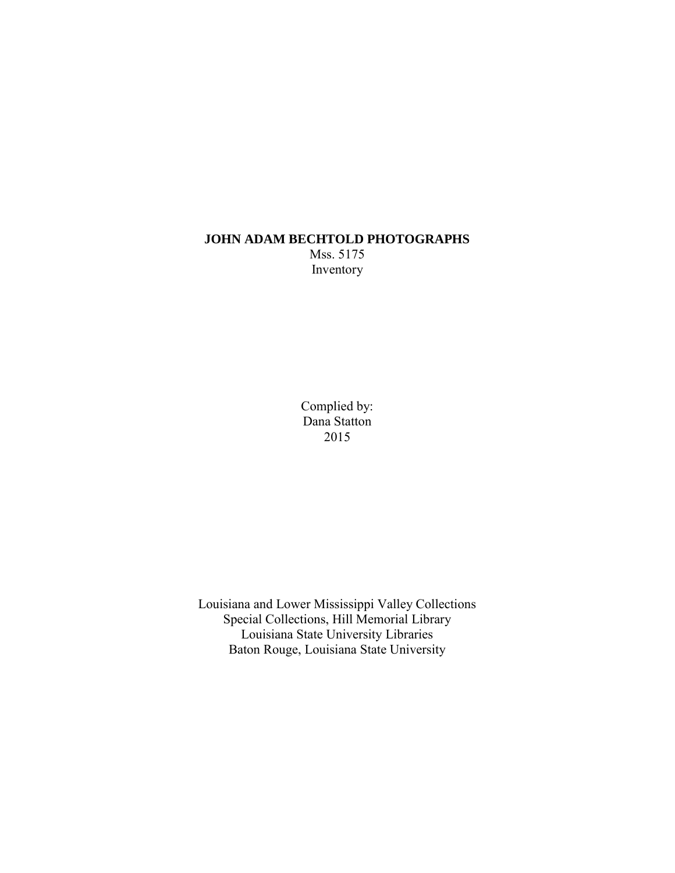## **JOHN ADAM BECHTOLD PHOTOGRAPHS**  Mss. 5175 Inventory

Complied by: Dana Statton 2015

Louisiana and Lower Mississippi Valley Collections Special Collections, Hill Memorial Library Louisiana State University Libraries Baton Rouge, Louisiana State University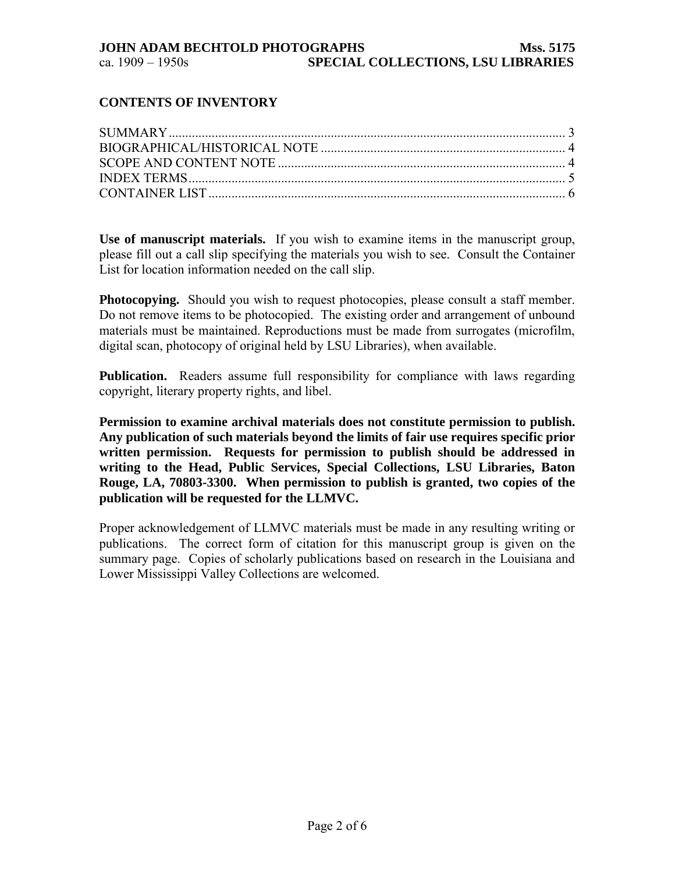## **CONTENTS OF INVENTORY**

**Use of manuscript materials.** If you wish to examine items in the manuscript group, please fill out a call slip specifying the materials you wish to see. Consult the Container List for location information needed on the call slip.

**Photocopying.** Should you wish to request photocopies, please consult a staff member. Do not remove items to be photocopied. The existing order and arrangement of unbound materials must be maintained. Reproductions must be made from surrogates (microfilm, digital scan, photocopy of original held by LSU Libraries), when available.

**Publication.** Readers assume full responsibility for compliance with laws regarding copyright, literary property rights, and libel.

**Permission to examine archival materials does not constitute permission to publish. Any publication of such materials beyond the limits of fair use requires specific prior written permission. Requests for permission to publish should be addressed in writing to the Head, Public Services, Special Collections, LSU Libraries, Baton Rouge, LA, 70803-3300. When permission to publish is granted, two copies of the publication will be requested for the LLMVC.** 

Proper acknowledgement of LLMVC materials must be made in any resulting writing or publications. The correct form of citation for this manuscript group is given on the summary page. Copies of scholarly publications based on research in the Louisiana and Lower Mississippi Valley Collections are welcomed.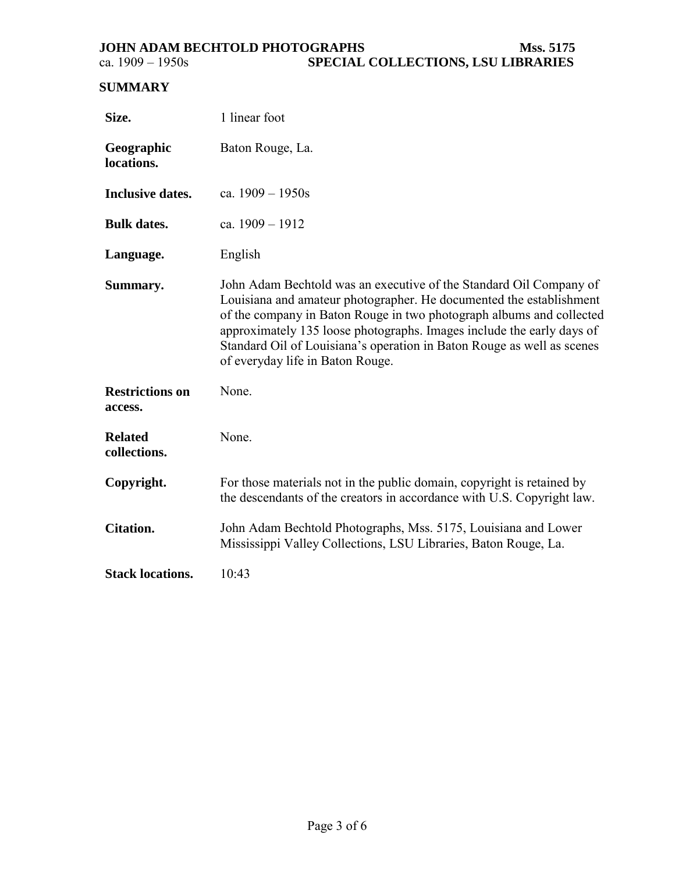# <span id="page-2-0"></span>**SUMMARY**

| Size.                             | 1 linear foot                                                                                                                                                                                                                                                                                                                                                                                            |  |  |
|-----------------------------------|----------------------------------------------------------------------------------------------------------------------------------------------------------------------------------------------------------------------------------------------------------------------------------------------------------------------------------------------------------------------------------------------------------|--|--|
| Geographic<br>locations.          | Baton Rouge, La.                                                                                                                                                                                                                                                                                                                                                                                         |  |  |
| <b>Inclusive dates.</b>           | ca. $1909 - 1950s$                                                                                                                                                                                                                                                                                                                                                                                       |  |  |
| <b>Bulk dates.</b>                | ca. $1909 - 1912$                                                                                                                                                                                                                                                                                                                                                                                        |  |  |
| Language.                         | English                                                                                                                                                                                                                                                                                                                                                                                                  |  |  |
| Summary.                          | John Adam Bechtold was an executive of the Standard Oil Company of<br>Louisiana and amateur photographer. He documented the establishment<br>of the company in Baton Rouge in two photograph albums and collected<br>approximately 135 loose photographs. Images include the early days of<br>Standard Oil of Louisiana's operation in Baton Rouge as well as scenes<br>of everyday life in Baton Rouge. |  |  |
| <b>Restrictions on</b><br>access. | None.                                                                                                                                                                                                                                                                                                                                                                                                    |  |  |
| <b>Related</b><br>collections.    | None.                                                                                                                                                                                                                                                                                                                                                                                                    |  |  |
| Copyright.                        | For those materials not in the public domain, copyright is retained by<br>the descendants of the creators in accordance with U.S. Copyright law.                                                                                                                                                                                                                                                         |  |  |
| <b>Citation.</b>                  | John Adam Bechtold Photographs, Mss. 5175, Louisiana and Lower<br>Mississippi Valley Collections, LSU Libraries, Baton Rouge, La.                                                                                                                                                                                                                                                                        |  |  |
| <b>Stack locations.</b>           | 10:43                                                                                                                                                                                                                                                                                                                                                                                                    |  |  |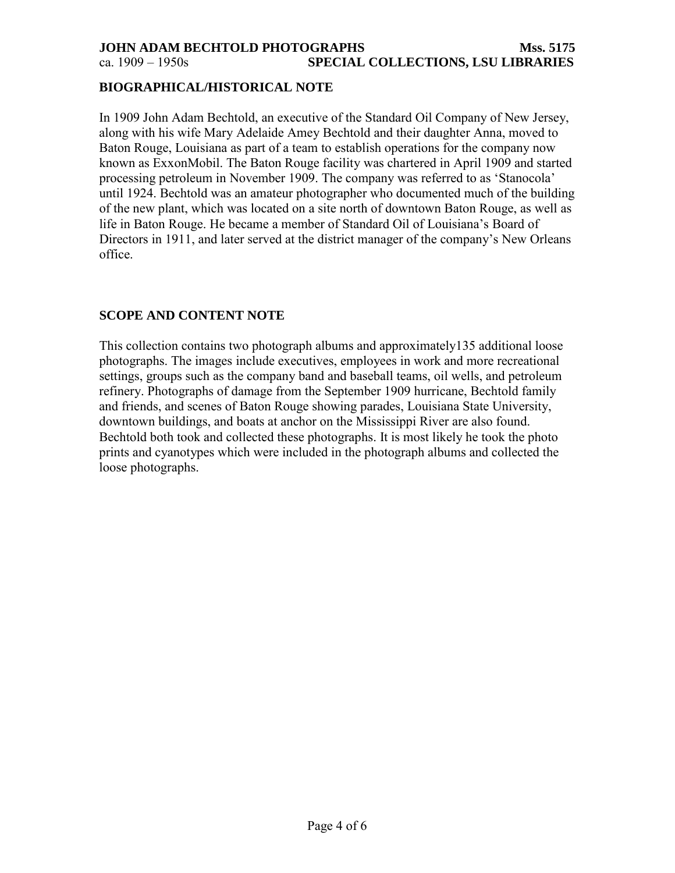### <span id="page-3-0"></span>**JOHN ADAM BECHTOLD PHOTOGRAPHS Mss. 5175** ca. 1909 – 1950s **SPECIAL COLLECTIONS, LSU LIBRARIES**

### **BIOGRAPHICAL/HISTORICAL NOTE**

In 1909 John Adam Bechtold, an executive of the Standard Oil Company of New Jersey, along with his wife Mary Adelaide Amey Bechtold and their daughter Anna, moved to Baton Rouge, Louisiana as part of a team to establish operations for the company now known as ExxonMobil. The Baton Rouge facility was chartered in April 1909 and started processing petroleum in November 1909. The company was referred to as 'Stanocola' until 1924. Bechtold was an amateur photographer who documented much of the building of the new plant, which was located on a site north of downtown Baton Rouge, as well as life in Baton Rouge. He became a member of Standard Oil of Louisiana's Board of Directors in 1911, and later served at the district manager of the company's New Orleans office.

## **SCOPE AND CONTENT NOTE**

This collection contains two photograph albums and approximately135 additional loose photographs. The images include executives, employees in work and more recreational settings, groups such as the company band and baseball teams, oil wells, and petroleum refinery. Photographs of damage from the September 1909 hurricane, Bechtold family and friends, and scenes of Baton Rouge showing parades, Louisiana State University, downtown buildings, and boats at anchor on the Mississippi River are also found. Bechtold both took and collected these photographs. It is most likely he took the photo prints and cyanotypes which were included in the photograph albums and collected the loose photographs.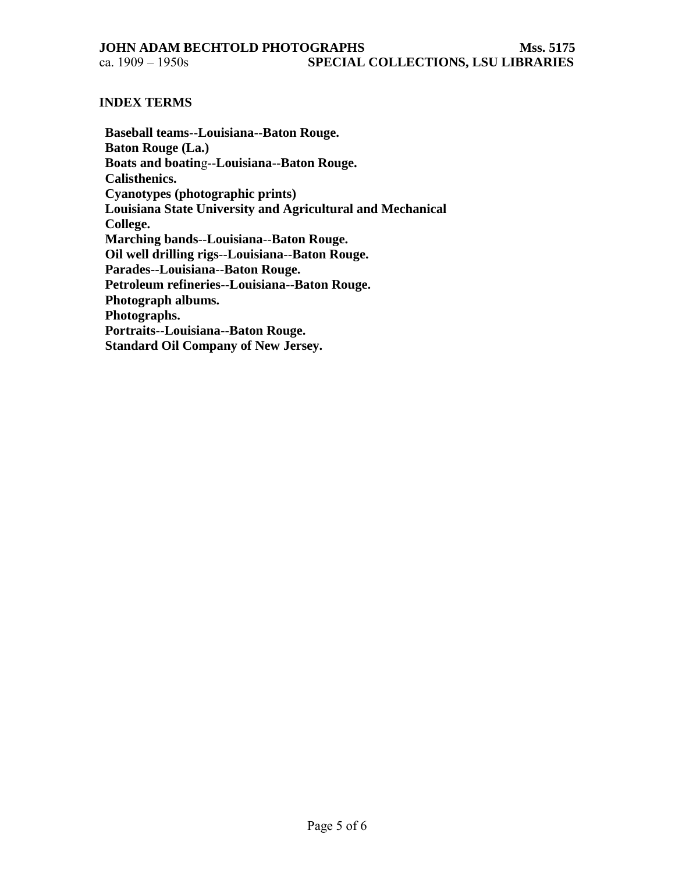#### <span id="page-4-0"></span>**INDEX TERMS**

**Baseball teams**--**Louisiana**--**Baton Rouge. Baton Rouge (La.) Boats and boatin**g--**Louisiana**--**Baton Rouge. Calisthenics. Cyanotypes (photographic prints) Louisiana State University and Agricultural and Mechanical College. Marching bands**--**Louisiana**--**Baton Rouge. Oil well drilling rigs**--**Louisiana**--**Baton Rouge. Parades**--**Louisiana**--**Baton Rouge. Petroleum refineries**--**Louisiana**--**Baton Rouge. Photograph albums. Photographs. Portraits**--**Louisiana**--**Baton Rouge. Standard Oil Company of New Jersey.**